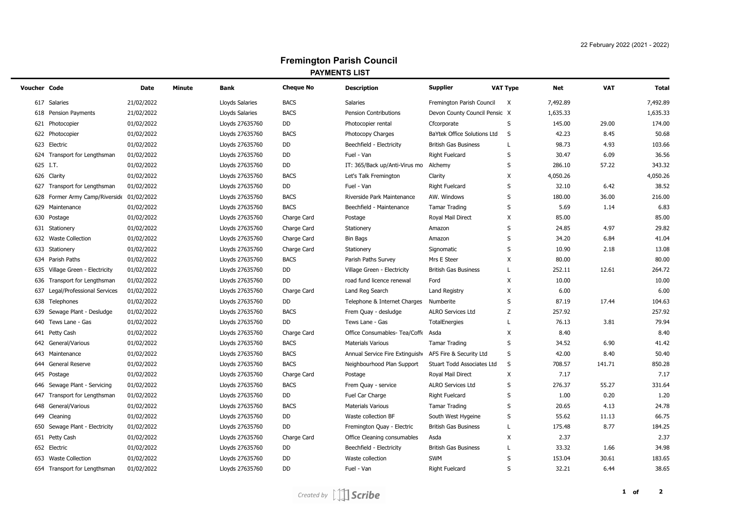## **Fremington Parish Council PAYMENTS LIST**

| <b>Voucher Code</b> |                                 | Date       | <b>Minute</b> | <b>Bank</b>     | <b>Cheque No</b> | <b>Description</b>                 | <b>Supplier</b>               | <b>VAT Type</b> | <b>Net</b> | <b>VAT</b> | <b>Total</b> |
|---------------------|---------------------------------|------------|---------------|-----------------|------------------|------------------------------------|-------------------------------|-----------------|------------|------------|--------------|
|                     | 617 Salaries                    | 21/02/2022 |               | Lloyds Salaries | <b>BACS</b>      | Salaries                           | Fremington Parish Council     | Χ               | 7,492.89   |            | 7,492.89     |
|                     | 618 Pension Payments            | 21/02/2022 |               | Lloyds Salaries | <b>BACS</b>      | <b>Pension Contributions</b>       | Devon County Council Pensic X |                 | 1,635.33   |            | 1,635.33     |
|                     | 621 Photocopier                 | 01/02/2022 |               | Lloyds 27635760 | DD               | Photocopier rental                 | Cfcorporate                   | S               | 145.00     | 29.00      | 174.00       |
|                     | 622 Photocopier                 | 01/02/2022 |               | Lloyds 27635760 | <b>BACS</b>      | Photocopy Charges                  | BaYtek Office Solutions Ltd   | S               | 42.23      | 8.45       | 50.68        |
|                     | 623 Electric                    | 01/02/2022 |               | Lloyds 27635760 | DD               | Beechfield - Electricity           | <b>British Gas Business</b>   | L               | 98.73      | 4.93       | 103.66       |
|                     | 624 Transport for Lengthsman    | 01/02/2022 |               | Lloyds 27635760 | DD               | Fuel - Van                         | <b>Right Fuelcard</b>         | S               | 30.47      | 6.09       | 36.56        |
|                     | 625 I.T.                        | 01/02/2022 |               | Lloyds 27635760 | DD               | IT: 365/Back up/Anti-Virus mo      | Alchemy                       | S               | 286.10     | 57.22      | 343.32       |
|                     | 626 Clarity                     | 01/02/2022 |               | Lloyds 27635760 | <b>BACS</b>      | Let's Talk Fremington              | Clarity                       | X               | 4,050.26   |            | 4,050.26     |
|                     | 627 Transport for Lengthsman    | 01/02/2022 |               | Lloyds 27635760 | DD               | Fuel - Van                         | <b>Right Fuelcard</b>         | S               | 32.10      | 6.42       | 38.52        |
| 628                 | Former Army Camp/Riverside      | 01/02/2022 |               | Lloyds 27635760 | <b>BACS</b>      | Riverside Park Maintenance         | AW. Windows                   | S               | 180.00     | 36.00      | 216.00       |
|                     | 629 Maintenance                 | 01/02/2022 |               | Lloyds 27635760 | <b>BACS</b>      | Beechfield - Maintenance           | <b>Tamar Trading</b>          | S               | 5.69       | 1.14       | 6.83         |
| 630                 | Postage                         | 01/02/2022 |               | Lloyds 27635760 | Charge Card      | Postage                            | Royal Mail Direct             | X               | 85.00      |            | 85.00        |
|                     | 631 Stationery                  | 01/02/2022 |               | Lloyds 27635760 | Charge Card      | Stationery                         | Amazon                        | S               | 24.85      | 4.97       | 29.82        |
|                     | 632 Waste Collection            | 01/02/2022 |               | Lloyds 27635760 | Charge Card      | <b>Bin Bags</b>                    | Amazon                        | S               | 34.20      | 6.84       | 41.04        |
|                     | 633 Stationery                  | 01/02/2022 |               | Lloyds 27635760 | Charge Card      | Stationery                         | Signomatic                    | S               | 10.90      | 2.18       | 13.08        |
|                     | 634 Parish Paths                | 01/02/2022 |               | Lloyds 27635760 | <b>BACS</b>      | Parish Paths Survey                | Mrs E Steer                   | X               | 80.00      |            | 80.00        |
|                     | 635 Village Green - Electricity | 01/02/2022 |               | Lloyds 27635760 | DD               | Village Green - Electricity        | <b>British Gas Business</b>   | L               | 252.11     | 12.61      | 264.72       |
|                     | 636 Transport for Lengthsman    | 01/02/2022 |               | Lloyds 27635760 | DD               | road fund licence renewal          | Ford                          | Χ               | 10.00      |            | 10.00        |
|                     | 637 Legal/Professional Services | 01/02/2022 |               | Lloyds 27635760 | Charge Card      | Land Reg Search                    | <b>Land Registry</b>          | Χ               | 6.00       |            | 6.00         |
|                     | 638 Telephones                  | 01/02/2022 |               | Lloyds 27635760 | DD               | Telephone & Internet Charges       | Numberite                     | S               | 87.19      | 17.44      | 104.63       |
|                     | 639 Sewage Plant - Desludge     | 01/02/2022 |               | Lloyds 27635760 | <b>BACS</b>      | Frem Quay - desludge               | <b>ALRO Services Ltd</b>      | Z               | 257.92     |            | 257.92       |
|                     | 640 Tews Lane - Gas             | 01/02/2022 |               | Lloyds 27635760 | DD               | Tews Lane - Gas                    | <b>TotalEnergies</b>          | L               | 76.13      | 3.81       | 79.94        |
|                     | 641 Petty Cash                  | 01/02/2022 |               | Lloyds 27635760 | Charge Card      | Office Consumables- Tea/Coffe Asda |                               | X               | 8.40       |            | 8.40         |
|                     | 642 General/Various             | 01/02/2022 |               | Lloyds 27635760 | <b>BACS</b>      | <b>Materials Various</b>           | <b>Tamar Trading</b>          | S               | 34.52      | 6.90       | 41.42        |
|                     | 643 Maintenance                 | 01/02/2022 |               | Lloyds 27635760 | <b>BACS</b>      | Annual Service Fire Extinguish     | AFS Fire & Security Ltd       | S               | 42.00      | 8.40       | 50.40        |
|                     | 644 General Reserve             | 01/02/2022 |               | Lloyds 27635760 | <b>BACS</b>      | Neighbourhood Plan Support         | Stuart Todd Associates Ltd    | S               | 708.57     | 141.71     | 850.28       |
|                     | 645 Postage                     | 01/02/2022 |               | Lloyds 27635760 | Charge Card      | Postage                            | Royal Mail Direct             | X               | 7.17       |            | 7.17         |
|                     | 646 Sewage Plant - Servicing    | 01/02/2022 |               | Lloyds 27635760 | <b>BACS</b>      | Frem Quay - service                | <b>ALRO Services Ltd</b>      | S               | 276.37     | 55.27      | 331.64       |
|                     | 647 Transport for Lengthsman    | 01/02/2022 |               | Lloyds 27635760 | DD               | Fuel Car Charge                    | <b>Right Fuelcard</b>         | S               | 1.00       | 0.20       | 1.20         |
|                     | 648 General/Various             | 01/02/2022 |               | Lloyds 27635760 | <b>BACS</b>      | <b>Materials Various</b>           | <b>Tamar Trading</b>          | S               | 20.65      | 4.13       | 24.78        |
|                     | 649 Cleaning                    | 01/02/2022 |               | Lloyds 27635760 | DD               | Waste collection BF                | South West Hygeine            | S               | 55.62      | 11.13      | 66.75        |
|                     | 650 Sewage Plant - Electricity  | 01/02/2022 |               | Lloyds 27635760 | DD               | Fremington Quay - Electric         | <b>British Gas Business</b>   | L               | 175.48     | 8.77       | 184.25       |
|                     | 651 Petty Cash                  | 01/02/2022 |               | Lloyds 27635760 | Charge Card      | Office Cleaning consumables        | Asda                          | Χ               | 2.37       |            | 2.37         |
|                     | 652 Electric                    | 01/02/2022 |               | Lloyds 27635760 | DD               | Beechfield - Electricity           | <b>British Gas Business</b>   | L               | 33.32      | 1.66       | 34.98        |
|                     | 653 Waste Collection            | 01/02/2022 |               | Lloyds 27635760 | DD               | Waste collection                   | <b>SWM</b>                    | S               | 153.04     | 30.61      | 183.65       |
|                     | 654 Transport for Lengthsman    | 01/02/2022 |               | Lloyds 27635760 | DD               | Fuel - Van                         | <b>Right Fuelcard</b>         | S               | 32.21      | 6.44       | 38.65        |